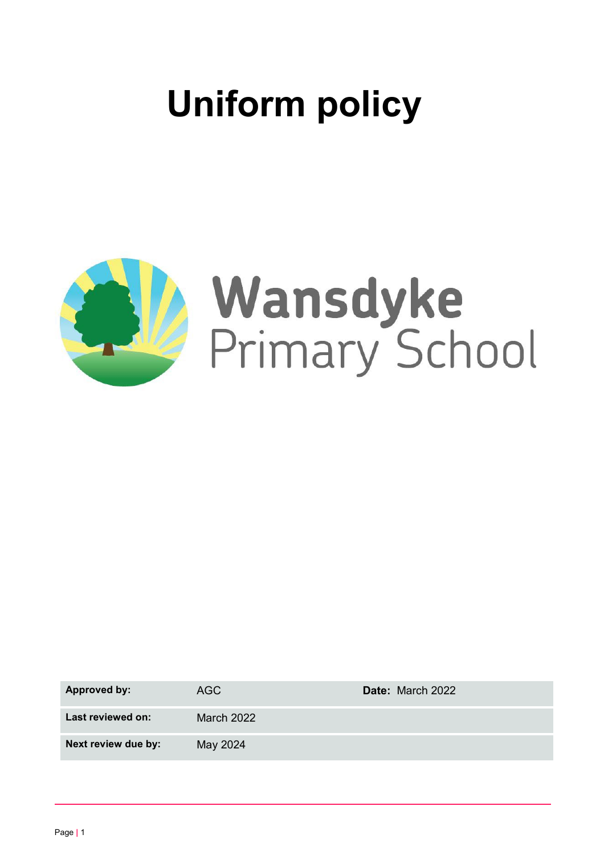# **Uniform policy**



| Approved by:        | AGC        | Date: March 2022 |
|---------------------|------------|------------------|
| Last reviewed on:   | March 2022 |                  |
| Next review due by: | May 2024   |                  |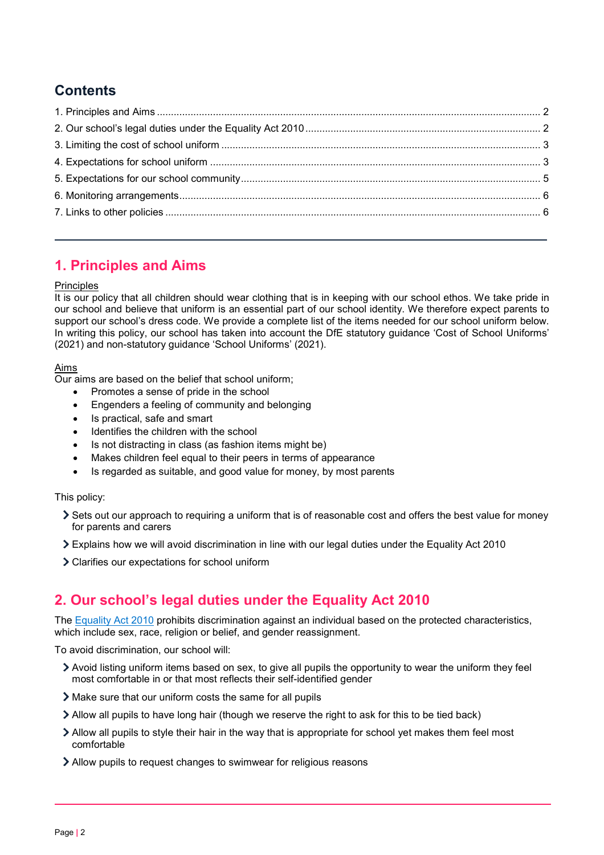# **Contents**

# <span id="page-1-0"></span>**1. Principles and Aims**

## **Principles**

It is our policy that all children should wear clothing that is in keeping with our school ethos. We take pride in our school and believe that uniform is an essential part of our school identity. We therefore expect parents to support our school's dress code. We provide a complete list of the items needed for our school uniform below. In writing this policy, our school has taken into account the DfE statutory guidance 'Cost of School Uniforms' (2021) and non-statutory guidance 'School Uniforms' (2021).

## Aims

Our aims are based on the belief that school uniform;

- Promotes a sense of pride in the school
- Engenders a feeling of community and belonging
- Is practical, safe and smart
- Identifies the children with the school
- Is not distracting in class (as fashion items might be)
- Makes children feel equal to their peers in terms of appearance
- Is regarded as suitable, and good value for money, by most parents

## This policy:

- Sets out our approach to requiring a uniform that is of reasonable cost and offers the best value for money for parents and carers
- Explains how we will avoid discrimination in line with our legal duties under the Equality Act 2010
- Clarifies our expectations for school uniform

# <span id="page-1-1"></span>**2. Our school's legal duties under the Equality Act 2010**

The [Equality Act 2010](https://www.legislation.gov.uk/ukpga/2010/15/contents) prohibits discrimination against an individual based on the protected characteristics, which include sex, race, religion or belief, and gender reassignment.

To avoid discrimination, our school will:

- Avoid listing uniform items based on sex, to give all pupils the opportunity to wear the uniform they feel most comfortable in or that most reflects their self-identified gender
- Make sure that our uniform costs the same for all pupils
- Allow all pupils to have long hair (though we reserve the right to ask for this to be tied back)
- Allow all pupils to style their hair in the way that is appropriate for school yet makes them feel most comfortable
- Allow pupils to request changes to swimwear for religious reasons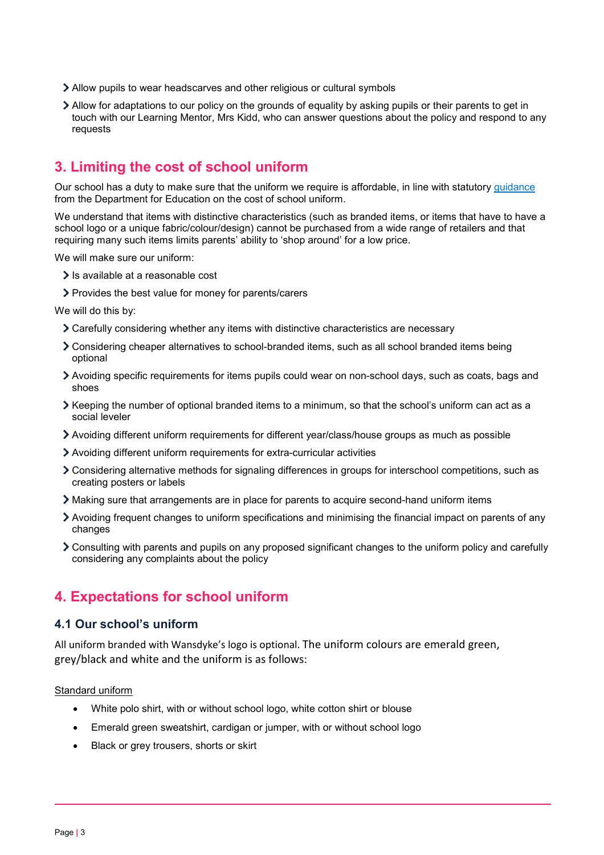- Allow pupils to wear headscarves and other religious or cultural symbols
- Allow for adaptations to our policy on the grounds of equality by asking pupils or their parents to get in touch with our Learning Mentor, Mrs Kidd, who can answer questions about the policy and respond to any requests

# <span id="page-2-0"></span>**3. Limiting the cost of school uniform**

Our school has a duty to make sure that the uniform we require is affordable, in line with statutory [guidance](https://www.gov.uk/government/publications/cost-of-school-uniforms/cost-of-school-uniforms) from the Department for Education on the cost of school uniform.

We understand that items with distinctive characteristics (such as branded items, or items that have to have a school logo or a unique fabric/colour/design) cannot be purchased from a wide range of retailers and that requiring many such items limits parents' ability to 'shop around' for a low price.

We will make sure our uniform:

- $\sum$  Is available at a reasonable cost
- > Provides the best value for money for parents/carers

We will do this by:

- Carefully considering whether any items with distinctive characteristics are necessary
- Considering cheaper alternatives to school-branded items, such as all school branded items being optional
- Avoiding specific requirements for items pupils could wear on non-school days, such as coats, bags and shoes
- Keeping the number of optional branded items to a minimum, so that the school's uniform can act as a social leveler
- Avoiding different uniform requirements for different year/class/house groups as much as possible
- Avoiding different uniform requirements for extra-curricular activities
- Considering alternative methods for signaling differences in groups for interschool competitions, such as creating posters or labels
- Making sure that arrangements are in place for parents to acquire second-hand uniform items
- Avoiding frequent changes to uniform specifications and minimising the financial impact on parents of any changes
- Consulting with parents and pupils on any proposed significant changes to the uniform policy and carefully considering any complaints about the policy

# <span id="page-2-1"></span>**4. Expectations for school uniform**

## **4.1 Our school's uniform**

All uniform branded with Wansdyke's logo is optional. The uniform colours are emerald green, grey/black and white and the uniform is as follows:

**Standard uniform** 

- White polo shirt, with or without school logo, white cotton shirt or blouse
- Emerald green sweatshirt, cardigan or jumper, with or without school logo
- Black or grey trousers, shorts or skirt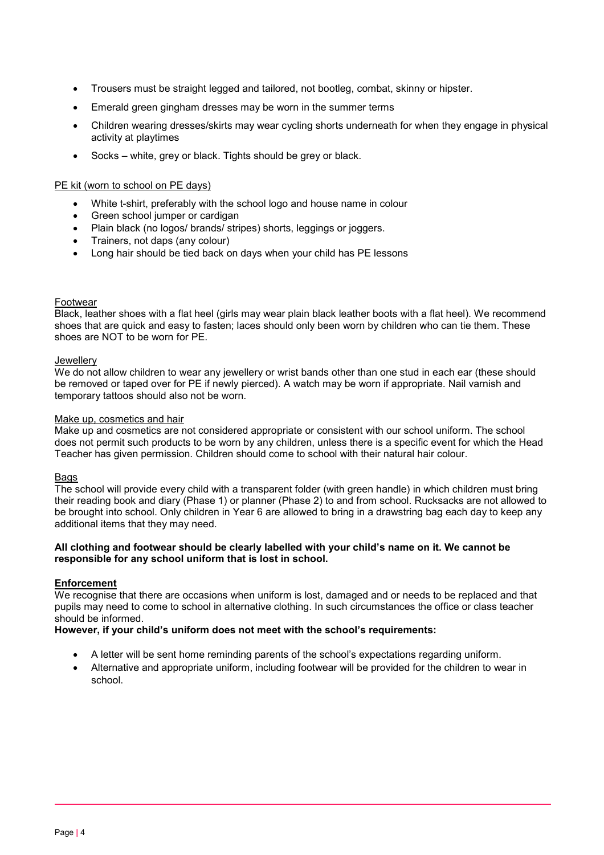- Trousers must be straight legged and tailored, not bootleg, combat, skinny or hipster.
- Emerald green gingham dresses may be worn in the summer terms
- Children wearing dresses/skirts may wear cycling shorts underneath for when they engage in physical activity at playtimes
- Socks white, grey or black. Tights should be grey or black.

#### PE kit (worn to school on PE days)

- White t-shirt, preferably with the school logo and house name in colour
- Green school jumper or cardigan
- Plain black (no logos/ brands/ stripes) shorts, leggings or joggers.
- Trainers, not daps (any colour)
- Long hair should be tied back on days when your child has PE lessons

#### Footwear

Black, leather shoes with a flat heel (girls may wear plain black leather boots with a flat heel). We recommend shoes that are quick and easy to fasten; laces should only been worn by children who can tie them. These shoes are NOT to be worn for PE.

#### **Jewellery**

We do not allow children to wear any jewellery or wrist bands other than one stud in each ear (these should be removed or taped over for PE if newly pierced). A watch may be worn if appropriate. Nail varnish and temporary tattoos should also not be worn.

#### Make up, cosmetics and hair

Make up and cosmetics are not considered appropriate or consistent with our school uniform. The school does not permit such products to be worn by any children, unless there is a specific event for which the Head Teacher has given permission. Children should come to school with their natural hair colour.

#### Bags

The school will provide every child with a transparent folder (with green handle) in which children must bring their reading book and diary (Phase 1) or planner (Phase 2) to and from school. Rucksacks are not allowed to be brought into school. Only children in Year 6 are allowed to bring in a drawstring bag each day to keep any additional items that they may need.

#### **All clothing and footwear should be clearly labelled with your child's name on it. We cannot be responsible for any school uniform that is lost in school.**

#### **Enforcement**

We recognise that there are occasions when uniform is lost, damaged and or needs to be replaced and that pupils may need to come to school in alternative clothing. In such circumstances the office or class teacher should be informed.

#### **However, if your child's uniform does not meet with the school's requirements:**

- A letter will be sent home reminding parents of the school's expectations regarding uniform.
- Alternative and appropriate uniform, including footwear will be provided for the children to wear in school.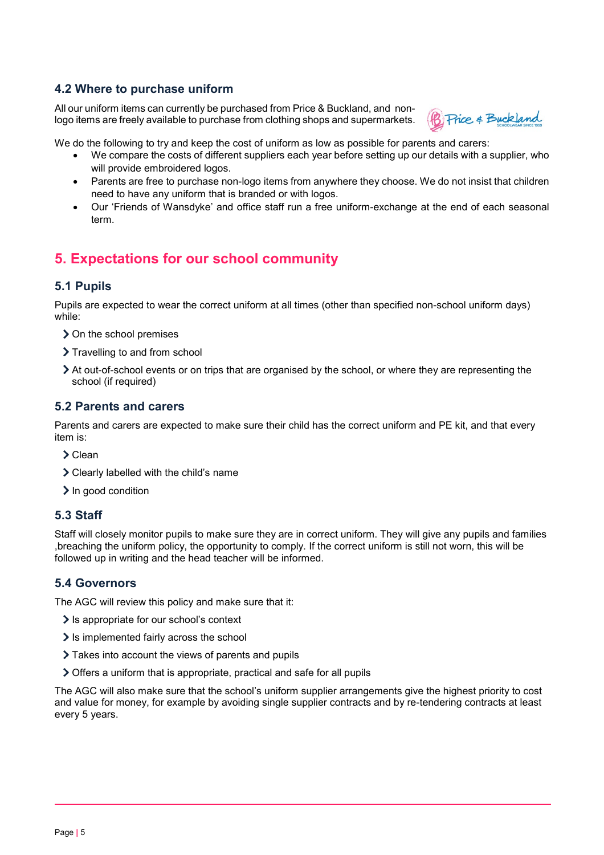## **4.2 Where to purchase uniform**

All our uniform items can currently be purchased from Price & Buckland, and nonlogo items are freely available to purchase from clothing shops and supermarkets.



We do the following to try and keep the cost of uniform as low as possible for parents and carers:

- We compare the costs of different suppliers each year before setting up our details with a supplier, who will provide embroidered logos.
- Parents are free to purchase non-logo items from anywhere they choose. We do not insist that children need to have any uniform that is branded or with logos.
- Our 'Friends of Wansdyke' and office staff run a free uniform-exchange at the end of each seasonal term.

# <span id="page-4-0"></span>**5. Expectations for our school community**

# **5.1 Pupils**

Pupils are expected to wear the correct uniform at all times (other than specified non-school uniform days) while:

- > On the school premises
- > Travelling to and from school
- At out-of-school events or on trips that are organised by the school, or where they are representing the school (if required)

## **5.2 Parents and carers**

Parents and carers are expected to make sure their child has the correct uniform and PE kit, and that every item is:

- Clean
- Clearly labelled with the child's name
- $\sum$  In good condition

## **5.3 Staff**

Staff will closely monitor pupils to make sure they are in correct uniform. They will give any pupils and families ,breaching the uniform policy, the opportunity to comply. If the correct uniform is still not worn, this will be followed up in writing and the head teacher will be informed.

## **5.4 Governors**

The AGC will review this policy and make sure that it:

- Is appropriate for our school's context
- If is implemented fairly across the school
- Takes into account the views of parents and pupils
- Offers a uniform that is appropriate, practical and safe for all pupils

The AGC will also make sure that the school's uniform supplier arrangements give the highest priority to cost and value for money, for example by avoiding single supplier contracts and by re-tendering contracts at least every 5 years.